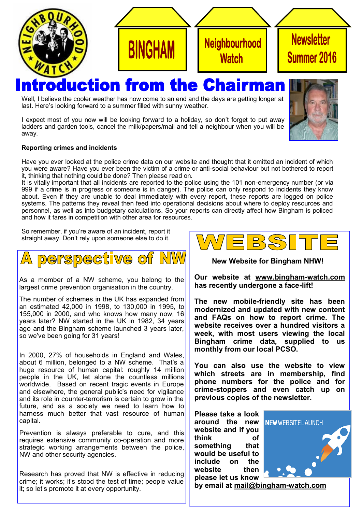

## **duction from the Chai** rma

Well, I believe the cooler weather has now come to an end and the days are getting longer at last. Here's looking forward to a summer filled with sunny weather.

I expect most of you now will be looking forward to a holiday, so don't forget to put away ladders and garden tools, cancel the milk/papers/mail and tell a neighbour when you will be away.



## **Reporting crimes and incidents**

Have you ever looked at the police crime data on our website and thought that it omitted an incident of which you were aware? Have you ever been the victim of a crime or anti-social behaviour but not bothered to report it, thinking that nothing could be done? Then please read on.

It is vitally important that all incidents are reported to the police using the 101 non-emergency number (or via 999 if a crime is in progress or someone is in danger). The police can only respond to incidents they know about. Even if they are unable to deal immediately with every report, these reports are logged on police systems. The patterns they reveal then feed into operational decisions about where to deploy resources and personnel, as well as into budgetary calculations. So your reports can directly affect how Bingham is policed and how it fares in competition with other area for resources.

So remember, if you're aware of an incident, report it straight away. Don't rely upon someone else to do it.



As a member of a NW scheme, you belong to the largest crime prevention organisation in the country.

The number of schemes in the UK has expanded from an estimated 42,000 in 1998, to 130,000 in 1995, to 155,000 in 2000, and who knows how many now, 16 years later? NW started in the UK in 1982, 34 years ago and the Bingham scheme launched 3 years later, so we've been going for 31 years!

In 2000, 27% of households in England and Wales, about 6 million, belonged to a NW scheme. That's a huge resource of human capital: roughly 14 million people in the UK, let alone the countless millions worldwide. Based on recent tragic events in Europe and elsewhere, the general public's need for vigilance and its role in counter-terrorism is certain to grow in the future, and as a society we need to learn how to harness much better that vast resource of human capital.

Prevention is always preferable to cure, and this requires extensive community co-operation and more strategic working arrangements between the police, NW and other security agencies.

Research has proved that NW is effective in reducing crime; it works; it's stood the test of time; people value it; so let's promote it at every opportunity.



**New Website for Bingham NHW!**

**Our website at [www.bingham](http://www.bingham-watch.com/)-watch.com has recently undergone a face-lift!**

**The new mobile-friendly site has been modernized and updated with new content and FAQs on how to report crime. The website receives over a hundred visitors a week, with most users viewing the local Bingham crime data, supplied to us monthly from our local PCSO.**

**You can also use the website to view which streets are in membership, find phone numbers for the police and for crime-stoppers and even catch up on previous copies of the newsletter.**

**Please take a look around the new website and if you think of something that would be useful to include on the website then please let us know** 



**by email at [mail@bingham](mailto:mail@bingham-watch.com)-watch.com**